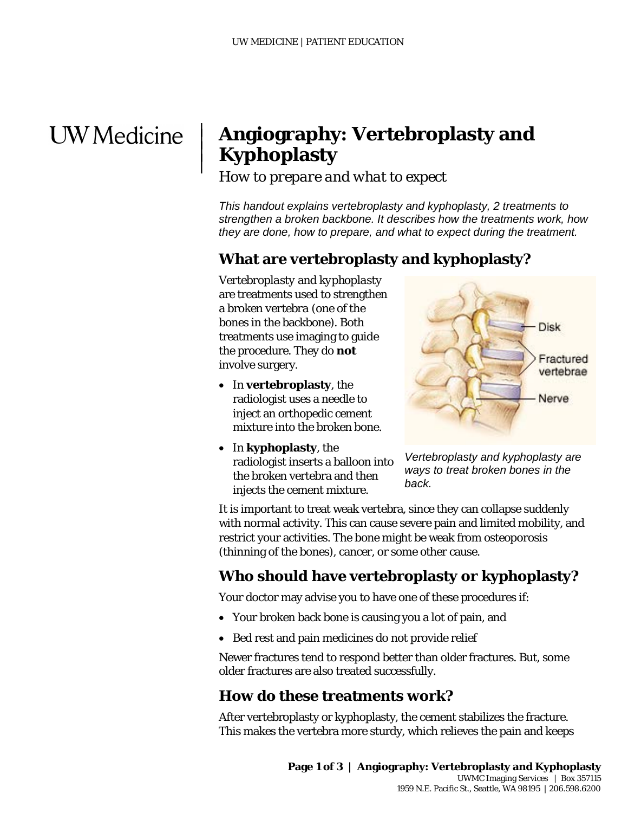# **UW** Medicine

 $\overline{\phantom{a}}$  $\vert$  $\vert$  $\vert$ 

# **Angiography: Vertebroplasty and Kyphoplasty**

*How to prepare and what to expect* 

*This handout explains vertebroplasty and kyphoplasty, 2 treatments to strengthen a broken backbone. It describes how the treatments work, how they are done, how to prepare, and what to expect during the treatment.*

#### **What are vertebroplasty and kyphoplasty?**

*Vertebroplasty* and *kyphoplasty* are treatments used to strengthen a broken *vertebra* (one of the bones in the backbone). Both treatments use imaging to guide the procedure. They do **not** involve surgery.

- In **vertebroplasty**, the radiologist uses a needle to inject an orthopedic cement mixture into the broken bone.
- In **kyphoplasty**, the radiologist inserts a balloon into the broken vertebra and then injects the cement mixture.



*Vertebroplasty and kyphoplasty are ways to treat broken bones in the back.*

It is important to treat weak vertebra, since they can collapse suddenly with normal activity. This can cause severe pain and limited mobility, and restrict your activities. The bone might be weak from *[osteoporosis](javascript:glossAry()* (thinning of the bones), cancer, or some other cause.

#### **Who should have vertebroplasty or kyphoplasty?**

Your doctor may advise you to have one of these procedures if:

- Your broken back bone is causing you a lot of pain, and
- Bed rest and pain medicines do not provide relief

Newer fractures tend to respond better than older fractures. But, some older fractures are also treated successfully.

#### **How do these treatments work?**

 $\_$  ,  $\_$  ,  $\_$  ,  $\_$  ,  $\_$  ,  $\_$  ,  $\_$  ,  $\_$  ,  $\_$  ,  $\_$  ,  $\_$  ,  $\_$  ,  $\_$  ,  $\_$  ,  $\_$  ,  $\_$  ,  $\_$  ,  $\_$  ,  $\_$  ,  $\_$  ,  $\_$  ,  $\_$  ,  $\_$  ,  $\_$  ,  $\_$  ,  $\_$  ,  $\_$  ,  $\_$  ,  $\_$  ,  $\_$  ,  $\_$  ,  $\_$  ,  $\_$  ,  $\_$  ,  $\_$  ,  $\_$  ,  $\_$  ,

After vertebroplasty or kyphoplasty, the cement stabilizes the fracture. This makes the vertebra more sturdy, which relieves the pain and keeps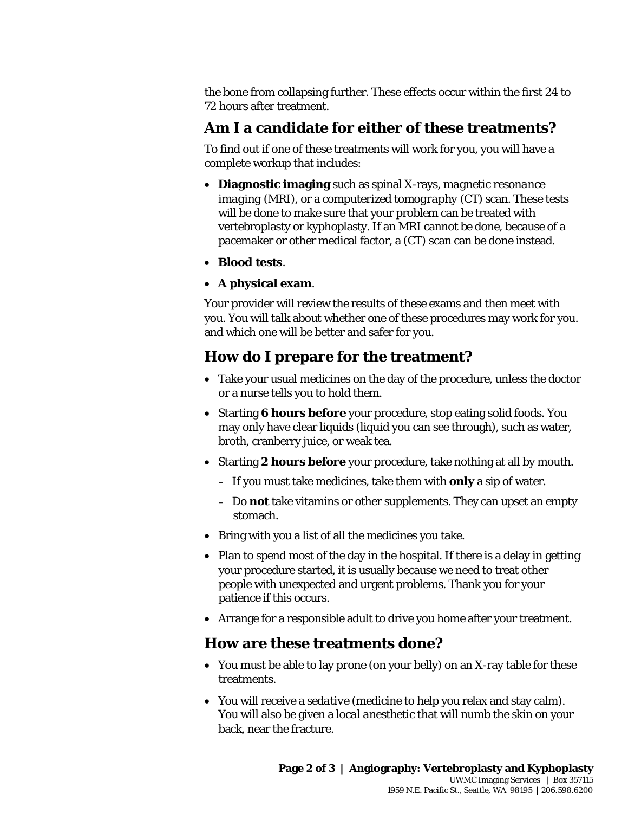the bone from collapsing further. These effects occur within the first 24 to 72 hours after treatment.

# **Am I a candidate for either of these treatments?**

To find out if one of these treatments will work for you, you will have a complete workup that includes:

- **Diagnostic imaging** such as spinal X-rays, *magnetic resonance imaging* (MRI), or a *computerized tomography* (CT) scan. These tests will be done to make sure that your problem can be treated with vertebroplasty or kyphoplasty. If an MRI cannot be done, because of a pacemaker or other medical factor, a (CT) scan can be done instead.
- **Blood tests**.
- **A physical exam**.

Your provider will review the results of these exams and then meet with<br>you. You will talk about whether one of these procedures may work for y<br>and which one will be better and safer for you.<br>**How do I prepare for the trea** Your provider will review the results of these exams and then meet with you. You will talk about whether one of these procedures may work for you. and which one will be better and safer for you.

# **How do I prepare for the treatment?**

- Take your usual medicines on the day of the procedure, unless the doctor or a nurse tells you to hold them.
- Starting **6 hours before** your procedure, stop eating solid foods. You may only have clear liquids (liquid you can see through), such as water, broth, cranberry juice, or weak tea.
- Starting **2 hours before** your procedure, take nothing at all by mouth.
	- If you must take medicines, take them with **only** a sip of water.
	- Do **not** take vitamins or other supplements. They can upset an empty stomach.
- Bring with you a list of all the medicines you take.
- Plan to spend most of the day in the hospital. If there is a delay in getting your procedure started, it is usually because we need to treat other people with unexpected and urgent problems. Thank you for your patience if this occurs.
- Arrange for a responsible adult to drive you home after your treatment.

## **How are these treatments done?**

 $\bot$  , and the set of the set of the set of the set of the set of the set of the set of the set of the set of the set of the set of the set of the set of the set of the set of the set of the set of the set of the set of t

- You must be able to lay *prone* (on your belly) on an X-ray table for these treatments.
- You will receive a *sedative* (medicine to help you relax and stay calm). You will also be given a *local anesthetic* that will numb the skin on your back, near the fracture.